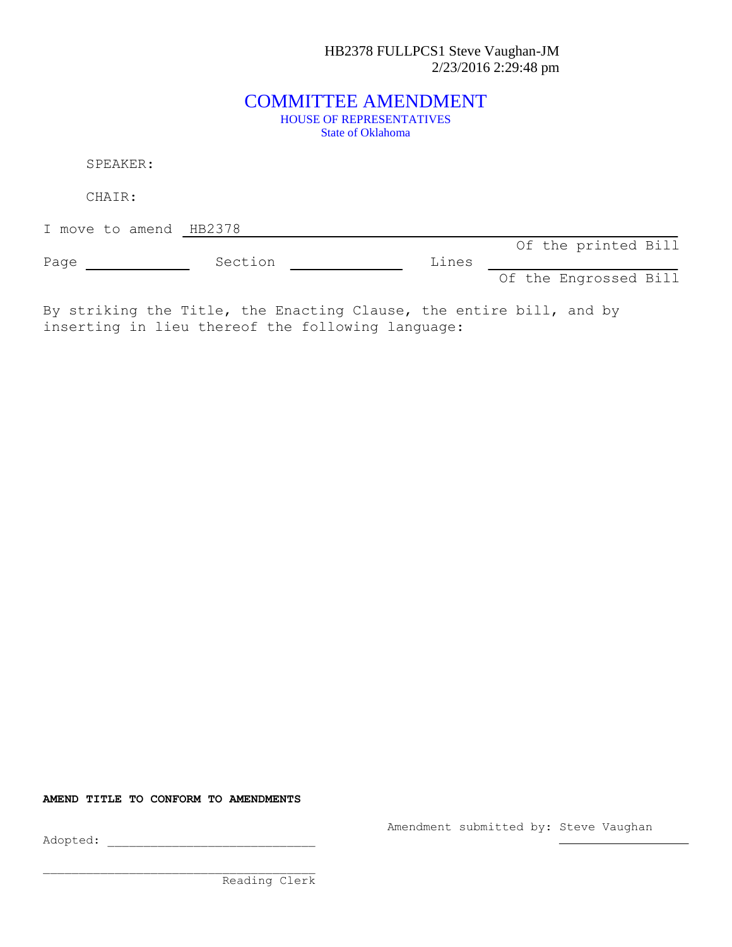HB2378 FULLPCS1 Steve Vaughan-JM 2/23/2016 2:29:48 pm

## COMMITTEE AMENDMENT HOUSE OF REPRESENTATIVES State of Oklahoma

SPEAKER:

CHAIR:

I move to amend HB2378

Of the printed Bill

Page Section Constants Dines Of the Engrossed Bill

By striking the Title, the Enacting Clause, the entire bill, and by inserting in lieu thereof the following language:

**AMEND TITLE TO CONFORM TO AMENDMENTS**

Amendment submitted by: Steve Vaughan

Adopted: \_\_\_\_\_\_\_\_\_\_\_\_\_\_\_\_\_\_\_\_\_\_\_\_\_\_\_\_\_

Reading Clerk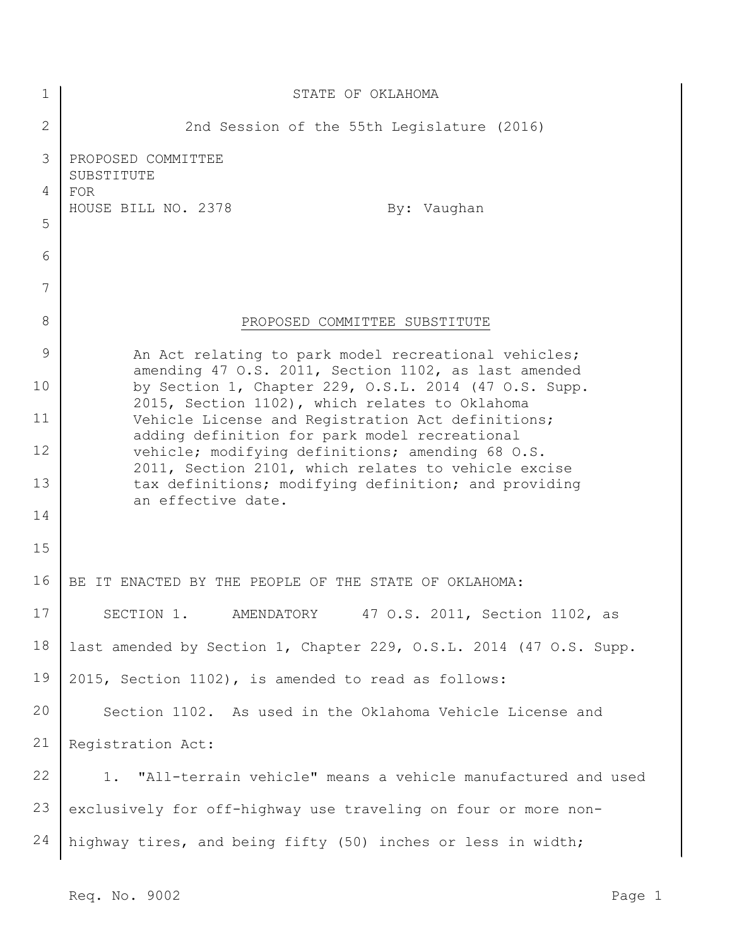| 1            | STATE OF OKLAHOMA                                                                                             |
|--------------|---------------------------------------------------------------------------------------------------------------|
| $\mathbf{2}$ | 2nd Session of the 55th Legislature (2016)                                                                    |
| 3            | PROPOSED COMMITTEE<br>SUBSTITUTE                                                                              |
| 4            | <b>FOR</b><br>HOUSE BILL NO. 2378<br>By: Vaughan                                                              |
| 5            |                                                                                                               |
| 6            |                                                                                                               |
| 7            |                                                                                                               |
| 8            | PROPOSED COMMITTEE SUBSTITUTE                                                                                 |
| 9            | An Act relating to park model recreational vehicles;                                                          |
| 10           | amending 47 O.S. 2011, Section 1102, as last amended<br>by Section 1, Chapter 229, O.S.L. 2014 (47 O.S. Supp. |
| 11           | 2015, Section 1102), which relates to Oklahoma<br>Vehicle License and Registration Act definitions;           |
| 12           | adding definition for park model recreational<br>vehicle; modifying definitions; amending 68 O.S.             |
| 13           | 2011, Section 2101, which relates to vehicle excise<br>tax definitions; modifying definition; and providing   |
| 14           | an effective date.                                                                                            |
| 15           |                                                                                                               |
| 16           | BE IT ENACTED BY THE PEOPLE OF THE STATE OF OKLAHOMA:                                                         |
| 17           | AMENDATORY 47 O.S. 2011, Section 1102, as<br>SECTION 1.                                                       |
| 18           | last amended by Section 1, Chapter 229, O.S.L. 2014 (47 O.S. Supp.                                            |
| 19           | 2015, Section 1102), is amended to read as follows:                                                           |
| 20           | Section 1102. As used in the Oklahoma Vehicle License and                                                     |
| 21           | Registration Act:                                                                                             |
| 22           | "All-terrain vehicle" means a vehicle manufactured and used<br>1.                                             |
| 23           | exclusively for off-highway use traveling on four or more non-                                                |
| 24           | highway tires, and being fifty (50) inches or less in width;                                                  |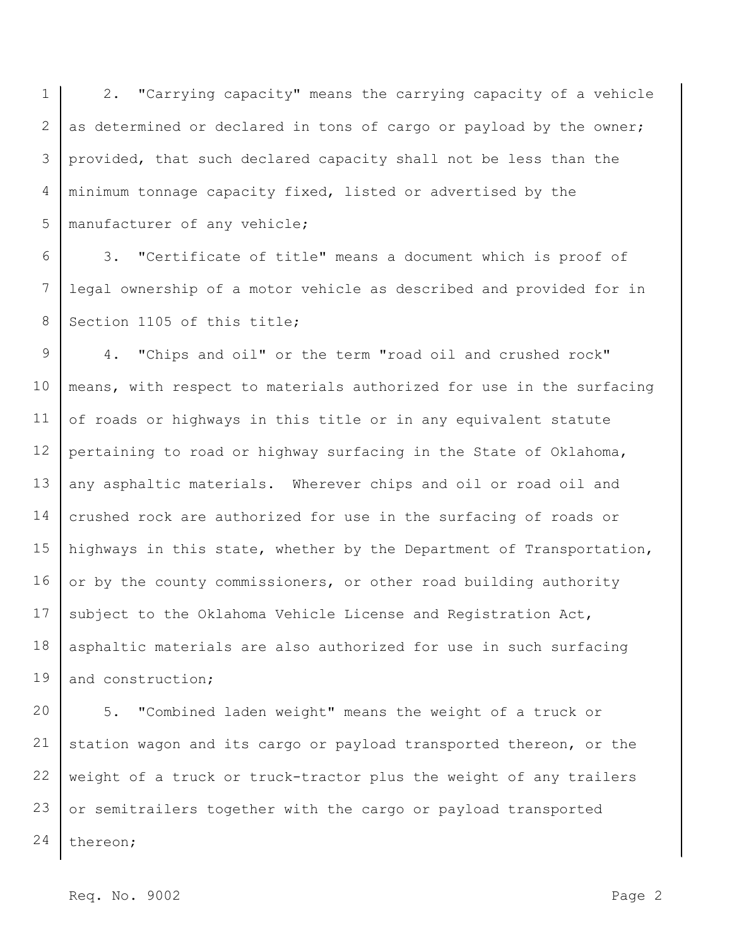1 2 3 4 5 2. "Carrying capacity" means the carrying capacity of a vehicle as determined or declared in tons of cargo or payload by the owner; provided, that such declared capacity shall not be less than the minimum tonnage capacity fixed, listed or advertised by the manufacturer of any vehicle;

6 7 8 3. "Certificate of title" means a document which is proof of legal ownership of a motor vehicle as described and provided for in Section 1105 of this title;

9 10 11 12 13 14 15 16 17 18 19 4. "Chips and oil" or the term "road oil and crushed rock" means, with respect to materials authorized for use in the surfacing of roads or highways in this title or in any equivalent statute pertaining to road or highway surfacing in the State of Oklahoma, any asphaltic materials. Wherever chips and oil or road oil and crushed rock are authorized for use in the surfacing of roads or highways in this state, whether by the Department of Transportation, or by the county commissioners, or other road building authority subject to the Oklahoma Vehicle License and Registration Act, asphaltic materials are also authorized for use in such surfacing and construction;

20 21 22 23 24 5. "Combined laden weight" means the weight of a truck or station wagon and its cargo or payload transported thereon, or the weight of a truck or truck-tractor plus the weight of any trailers or semitrailers together with the cargo or payload transported thereon;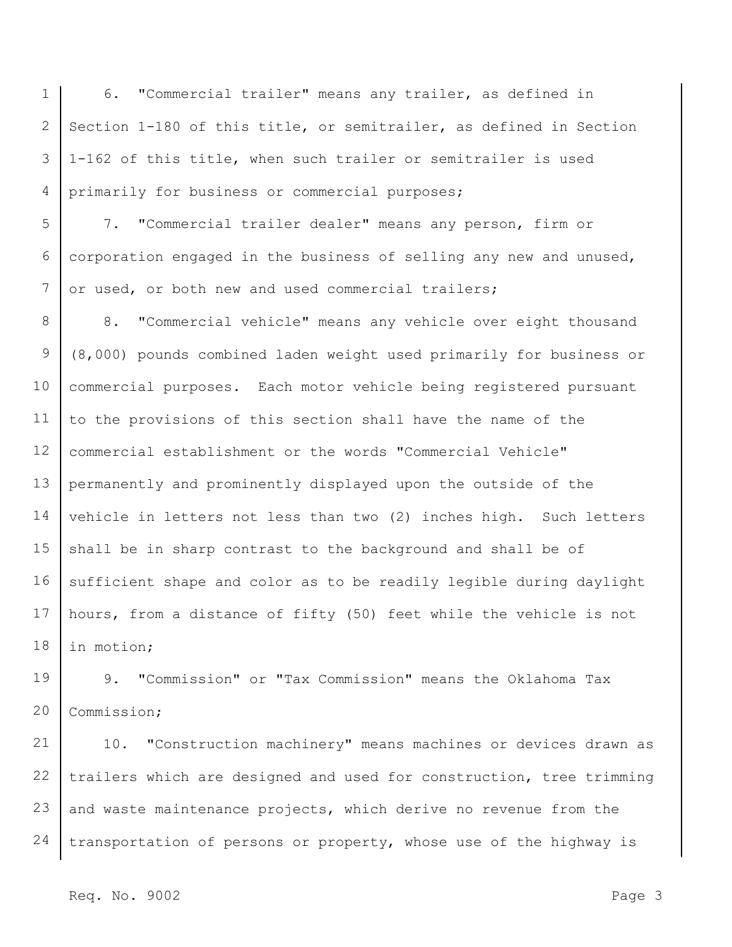1 2 3 4 6. "Commercial trailer" means any trailer, as defined in Section 1-180 of this title, or semitrailer, as defined in Section 1-162 of this title, when such trailer or semitrailer is used primarily for business or commercial purposes;

5 6 7 7. "Commercial trailer dealer" means any person, firm or corporation engaged in the business of selling any new and unused, or used, or both new and used commercial trailers;

8 9 10 11 12 13 14 15 16 17 18 8. "Commercial vehicle" means any vehicle over eight thousand (8,000) pounds combined laden weight used primarily for business or commercial purposes. Each motor vehicle being registered pursuant to the provisions of this section shall have the name of the commercial establishment or the words "Commercial Vehicle" permanently and prominently displayed upon the outside of the vehicle in letters not less than two (2) inches high. Such letters shall be in sharp contrast to the background and shall be of sufficient shape and color as to be readily legible during daylight hours, from a distance of fifty (50) feet while the vehicle is not in motion;

19 20 9. "Commission" or "Tax Commission" means the Oklahoma Tax Commission;

21 22 23 24 10. "Construction machinery" means machines or devices drawn as trailers which are designed and used for construction, tree trimming and waste maintenance projects, which derive no revenue from the transportation of persons or property, whose use of the highway is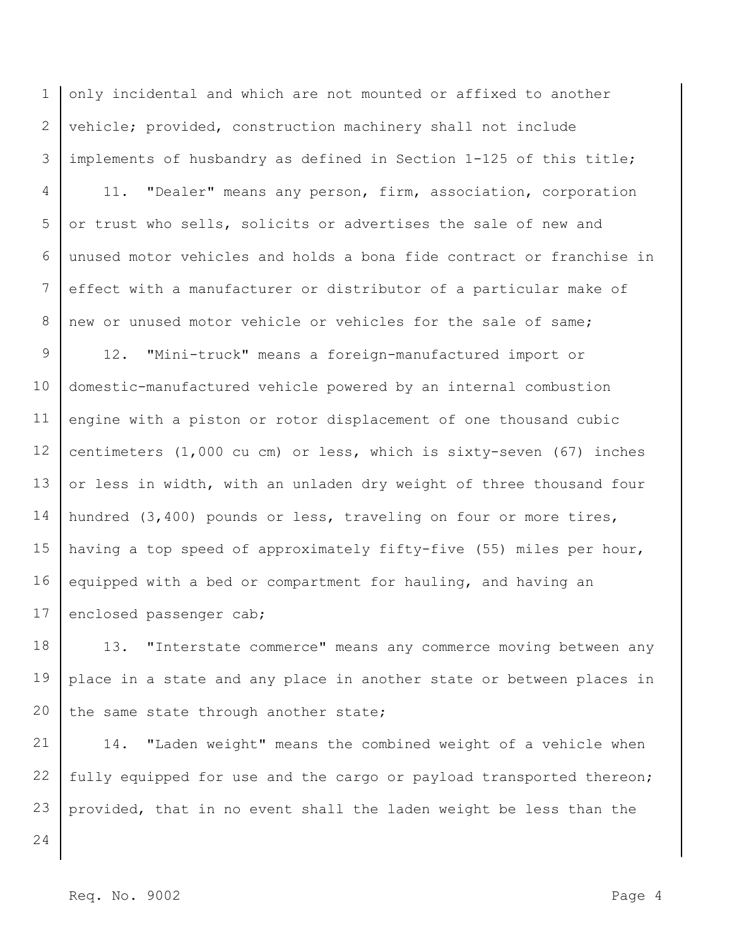1 2 3 only incidental and which are not mounted or affixed to another vehicle; provided, construction machinery shall not include implements of husbandry as defined in Section 1-125 of this title;

4 5 6 7 8 11. "Dealer" means any person, firm, association, corporation or trust who sells, solicits or advertises the sale of new and unused motor vehicles and holds a bona fide contract or franchise in effect with a manufacturer or distributor of a particular make of new or unused motor vehicle or vehicles for the sale of same;

9 10 11 12 13 14 15 16 17 12. "Mini-truck" means a foreign-manufactured import or domestic-manufactured vehicle powered by an internal combustion engine with a piston or rotor displacement of one thousand cubic centimeters (1,000 cu cm) or less, which is sixty-seven (67) inches or less in width, with an unladen dry weight of three thousand four hundred (3,400) pounds or less, traveling on four or more tires, having a top speed of approximately fifty-five (55) miles per hour, equipped with a bed or compartment for hauling, and having an enclosed passenger cab;

18 19 20 13. "Interstate commerce" means any commerce moving between any place in a state and any place in another state or between places in the same state through another state;

21 22 23 14. "Laden weight" means the combined weight of a vehicle when fully equipped for use and the cargo or payload transported thereon; provided, that in no event shall the laden weight be less than the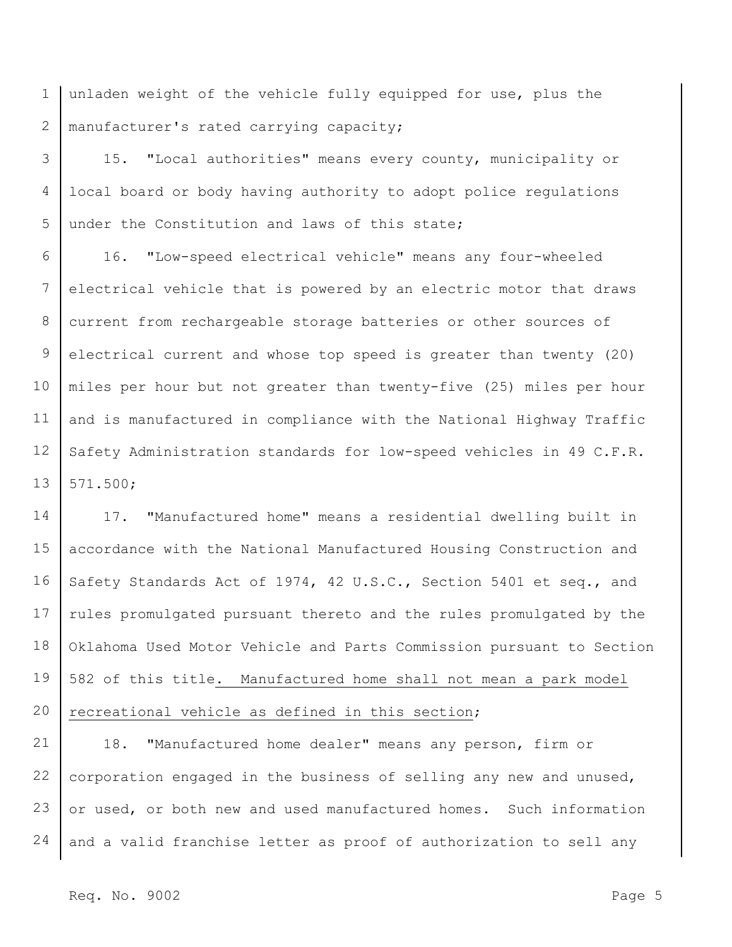1 2 unladen weight of the vehicle fully equipped for use, plus the manufacturer's rated carrying capacity;

3 4 5 15. "Local authorities" means every county, municipality or local board or body having authority to adopt police regulations under the Constitution and laws of this state;

6 7 8 9 10 11 12 13 16. "Low-speed electrical vehicle" means any four-wheeled electrical vehicle that is powered by an electric motor that draws current from rechargeable storage batteries or other sources of electrical current and whose top speed is greater than twenty (20) miles per hour but not greater than twenty-five (25) miles per hour and is manufactured in compliance with the National Highway Traffic Safety Administration standards for low-speed vehicles in 49 C.F.R. 571.500;

14 15 16 17 18 19 20 17. "Manufactured home" means a residential dwelling built in accordance with the National Manufactured Housing Construction and Safety Standards Act of 1974, 42 U.S.C., Section 5401 et seq., and rules promulgated pursuant thereto and the rules promulgated by the Oklahoma Used Motor Vehicle and Parts Commission pursuant to Section 582 of this title. Manufactured home shall not mean a park model recreational vehicle as defined in this section;

21 22 23 24 18. "Manufactured home dealer" means any person, firm or corporation engaged in the business of selling any new and unused, or used, or both new and used manufactured homes. Such information and a valid franchise letter as proof of authorization to sell any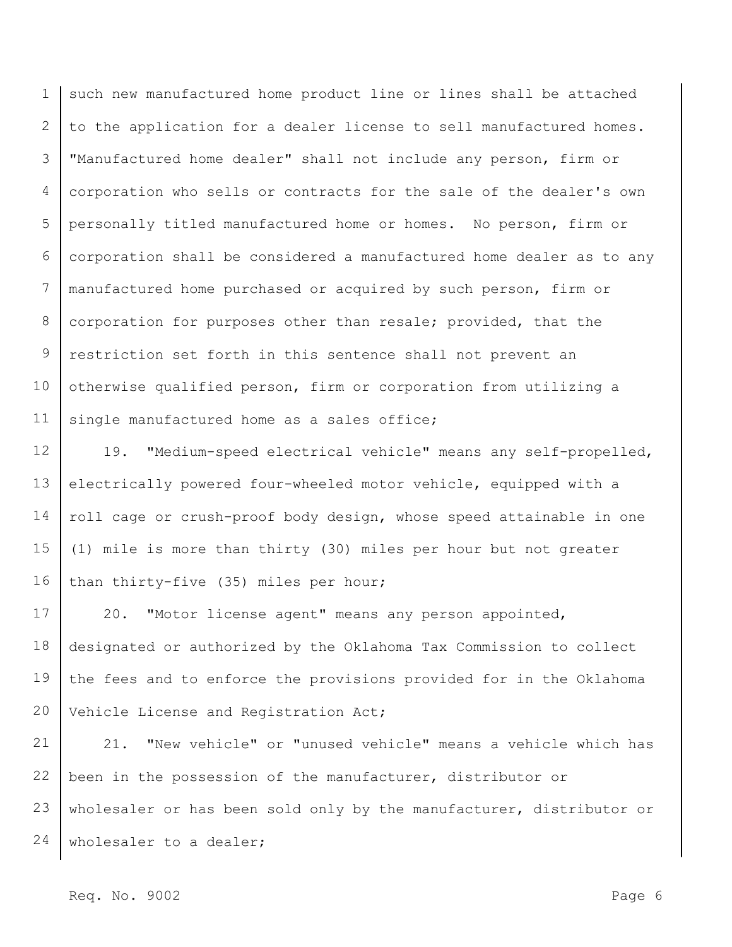1 2 3 4 5 6 7 8 9 10 11 such new manufactured home product line or lines shall be attached to the application for a dealer license to sell manufactured homes. "Manufactured home dealer" shall not include any person, firm or corporation who sells or contracts for the sale of the dealer's own personally titled manufactured home or homes. No person, firm or corporation shall be considered a manufactured home dealer as to any manufactured home purchased or acquired by such person, firm or corporation for purposes other than resale; provided, that the restriction set forth in this sentence shall not prevent an otherwise qualified person, firm or corporation from utilizing a single manufactured home as a sales office;

12 13 14 15 16 19. "Medium-speed electrical vehicle" means any self-propelled, electrically powered four-wheeled motor vehicle, equipped with a roll cage or crush-proof body design, whose speed attainable in one (1) mile is more than thirty (30) miles per hour but not greater than thirty-five (35) miles per hour;

17 18 19 20 20. "Motor license agent" means any person appointed, designated or authorized by the Oklahoma Tax Commission to collect the fees and to enforce the provisions provided for in the Oklahoma Vehicle License and Registration Act;

21 22 23 24 21. "New vehicle" or "unused vehicle" means a vehicle which has been in the possession of the manufacturer, distributor or wholesaler or has been sold only by the manufacturer, distributor or wholesaler to a dealer;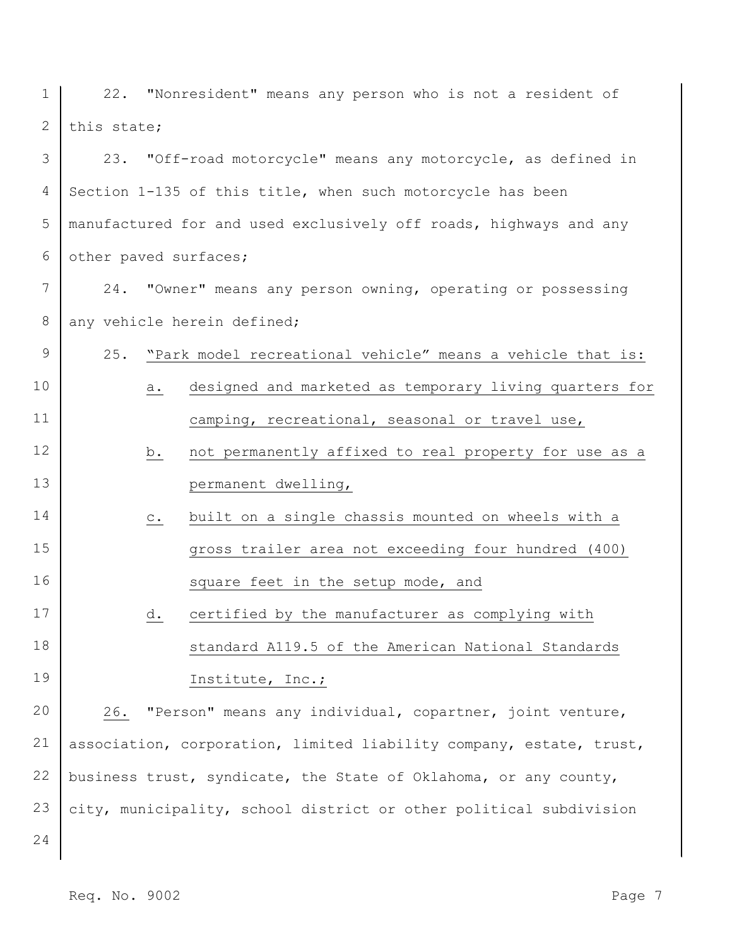1 2 22. "Nonresident" means any person who is not a resident of this state;

3 4 5 6 23. "Off-road motorcycle" means any motorcycle, as defined in Section 1-135 of this title, when such motorcycle has been manufactured for and used exclusively off roads, highways and any other paved surfaces;

- 7 8 24. "Owner" means any person owning, operating or possessing any vehicle herein defined;
- 9 10 11 25. "Park model recreational vehicle" means a vehicle that is: a. designed and marketed as temporary living quarters for camping, recreational, seasonal or travel use,
- 12 13 b. not permanently affixed to real property for use as a permanent dwelling,
- 14 15 16 c. built on a single chassis mounted on wheels with a gross trailer area not exceeding four hundred (400) square feet in the setup mode, and
- 17 18 19 d. certified by the manufacturer as complying with standard A119.5 of the American National Standards Institute, Inc.;

20 21 22 23 26. "Person" means any individual, copartner, joint venture, association, corporation, limited liability company, estate, trust, business trust, syndicate, the State of Oklahoma, or any county, city, municipality, school district or other political subdivision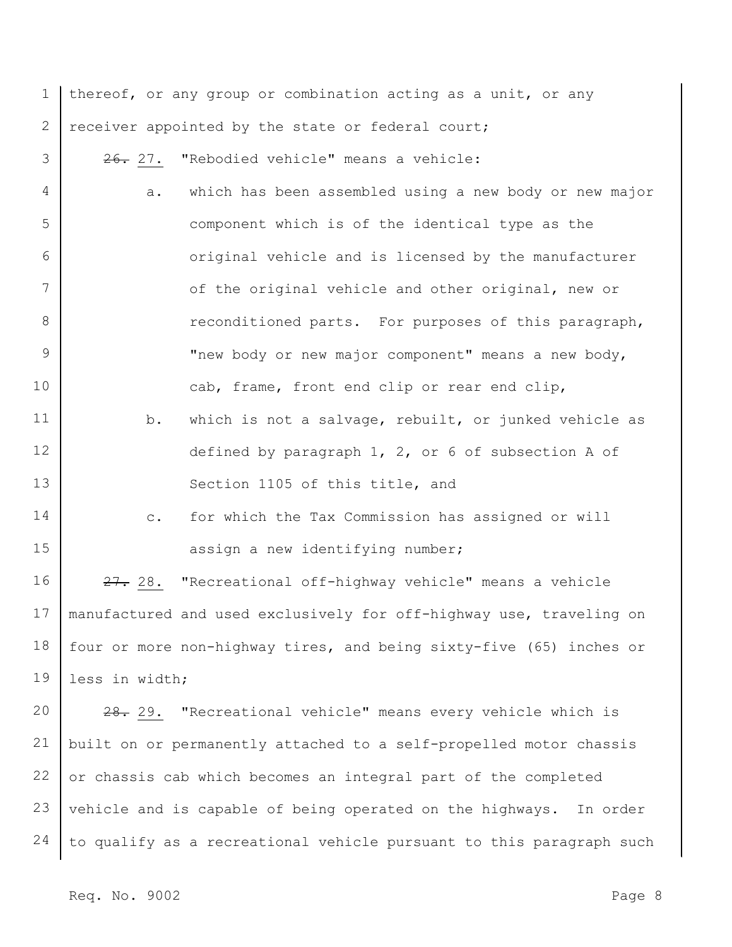1 2 3 4 5 6 7 8 9 10 11 12 13 14 15 16 17 18 19 20 21 22 thereof, or any group or combination acting as a unit, or any receiver appointed by the state or federal court; 26. 27. "Rebodied vehicle" means a vehicle: a. which has been assembled using a new body or new major component which is of the identical type as the original vehicle and is licensed by the manufacturer of the original vehicle and other original, new or reconditioned parts. For purposes of this paragraph, "new body or new major component" means a new body, cab, frame, front end clip or rear end clip, b. which is not a salvage, rebuilt, or junked vehicle as defined by paragraph 1, 2, or 6 of subsection A of Section 1105 of this title, and c. for which the Tax Commission has assigned or will assign a new identifying number; 27. 28. "Recreational off-highway vehicle" means a vehicle manufactured and used exclusively for off-highway use, traveling on four or more non-highway tires, and being sixty-five (65) inches or less in width; 28. 29. "Recreational vehicle" means every vehicle which is built on or permanently attached to a self-propelled motor chassis or chassis cab which becomes an integral part of the completed

24 to qualify as a recreational vehicle pursuant to this paragraph such

vehicle and is capable of being operated on the highways. In order

Req. No. 9002 Page 8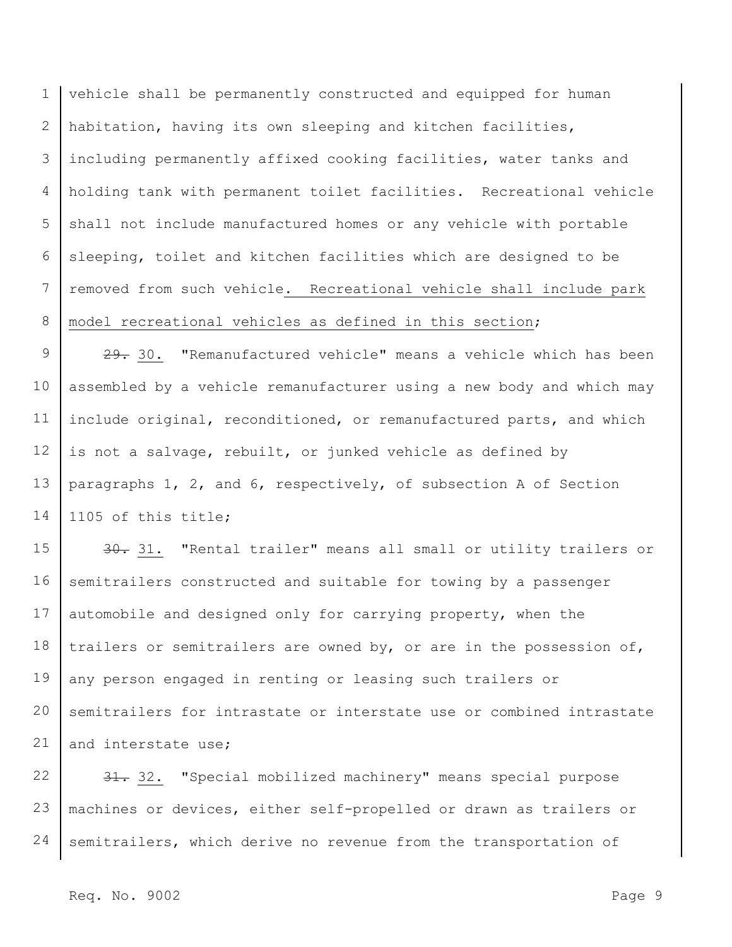1 2 3 4 5 6 7 8 vehicle shall be permanently constructed and equipped for human habitation, having its own sleeping and kitchen facilities, including permanently affixed cooking facilities, water tanks and holding tank with permanent toilet facilities. Recreational vehicle shall not include manufactured homes or any vehicle with portable sleeping, toilet and kitchen facilities which are designed to be removed from such vehicle. Recreational vehicle shall include park model recreational vehicles as defined in this section;

9 10 11 12 13 14 29. 30. "Remanufactured vehicle" means a vehicle which has been assembled by a vehicle remanufacturer using a new body and which may include original, reconditioned, or remanufactured parts, and which is not a salvage, rebuilt, or junked vehicle as defined by paragraphs 1, 2, and 6, respectively, of subsection A of Section 1105 of this title;

15 16 17 18 19 20 21 30. 31. "Rental trailer" means all small or utility trailers or semitrailers constructed and suitable for towing by a passenger automobile and designed only for carrying property, when the trailers or semitrailers are owned by, or are in the possession of, any person engaged in renting or leasing such trailers or semitrailers for intrastate or interstate use or combined intrastate and interstate use;

22 23 24 31. 32. "Special mobilized machinery" means special purpose machines or devices, either self-propelled or drawn as trailers or semitrailers, which derive no revenue from the transportation of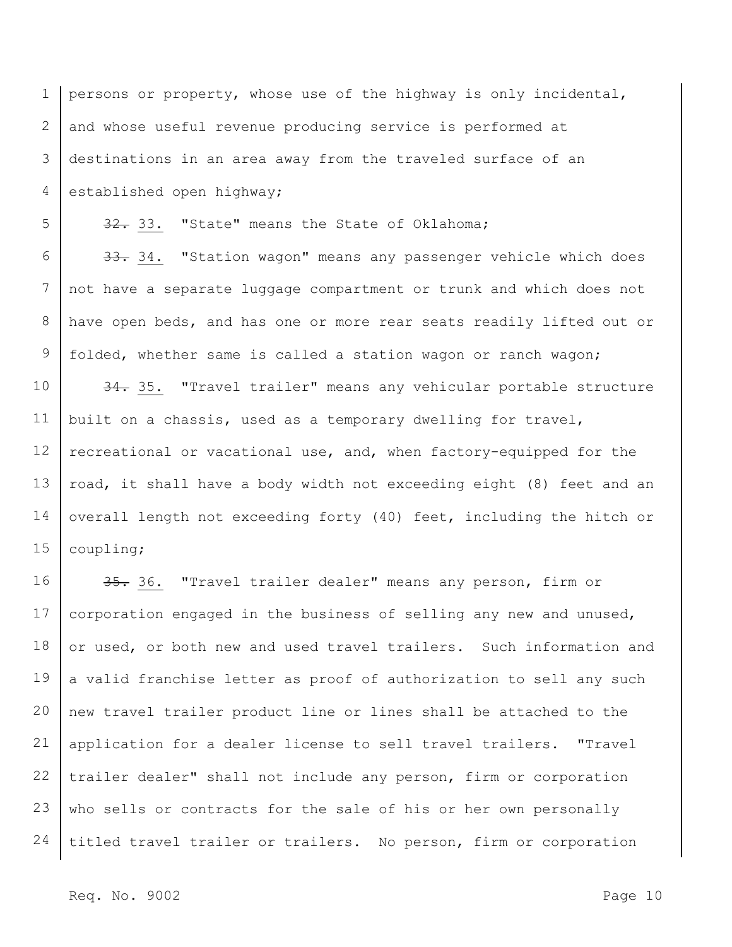1 2 3 4 persons or property, whose use of the highway is only incidental, and whose useful revenue producing service is performed at destinations in an area away from the traveled surface of an established open highway;

32. 33. "State" means the State of Oklahoma;

6 7 8 9 33. 34. "Station wagon" means any passenger vehicle which does not have a separate luggage compartment or trunk and which does not have open beds, and has one or more rear seats readily lifted out or folded, whether same is called a station wagon or ranch wagon;

10 11 12 13 14 15 34. 35. "Travel trailer" means any vehicular portable structure built on a chassis, used as a temporary dwelling for travel, recreational or vacational use, and, when factory-equipped for the road, it shall have a body width not exceeding eight (8) feet and an overall length not exceeding forty (40) feet, including the hitch or coupling;

16 17 18 19 20 21 22 23 24 35. 36. "Travel trailer dealer" means any person, firm or corporation engaged in the business of selling any new and unused, or used, or both new and used travel trailers. Such information and a valid franchise letter as proof of authorization to sell any such new travel trailer product line or lines shall be attached to the application for a dealer license to sell travel trailers. "Travel trailer dealer" shall not include any person, firm or corporation who sells or contracts for the sale of his or her own personally titled travel trailer or trailers. No person, firm or corporation

Req. No. 9002 Page 10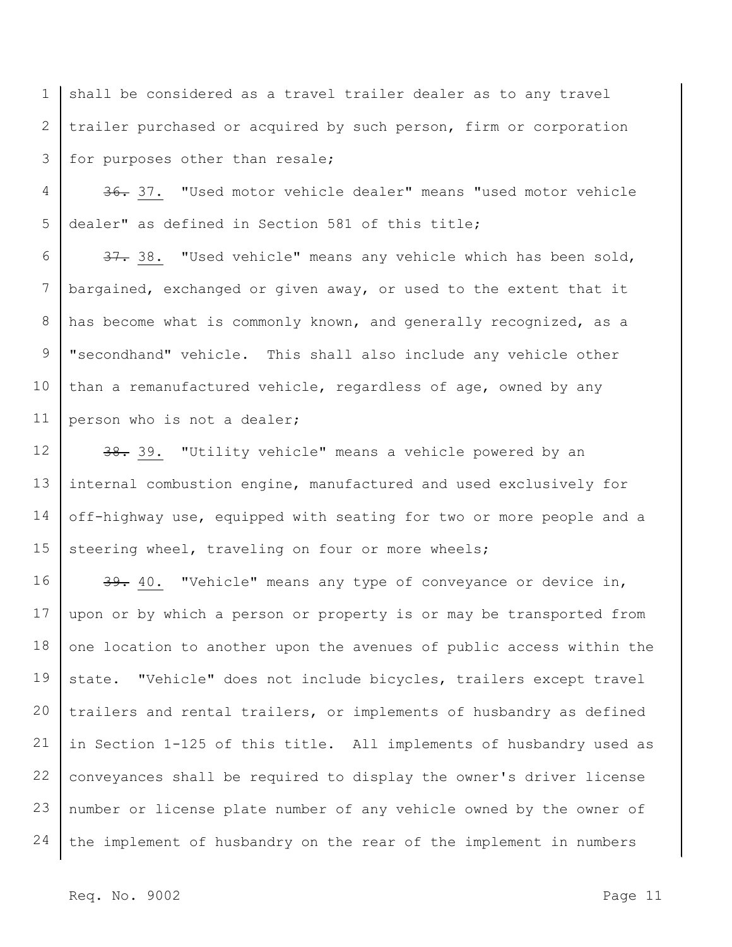1 2 3 shall be considered as a travel trailer dealer as to any travel trailer purchased or acquired by such person, firm or corporation for purposes other than resale;

4 5 36. 37. "Used motor vehicle dealer" means "used motor vehicle dealer" as defined in Section 581 of this title;

6 7 8 9 10 11 37. 38. "Used vehicle" means any vehicle which has been sold, bargained, exchanged or given away, or used to the extent that it has become what is commonly known, and generally recognized, as a "secondhand" vehicle. This shall also include any vehicle other than a remanufactured vehicle, regardless of age, owned by any person who is not a dealer;

12 13 14 15 38. 39. "Utility vehicle" means a vehicle powered by an internal combustion engine, manufactured and used exclusively for off-highway use, equipped with seating for two or more people and a steering wheel, traveling on four or more wheels;

16 17 18 19 20 21 22 23 24 39. 40. "Vehicle" means any type of conveyance or device in, upon or by which a person or property is or may be transported from one location to another upon the avenues of public access within the state. "Vehicle" does not include bicycles, trailers except travel trailers and rental trailers, or implements of husbandry as defined in Section 1-125 of this title. All implements of husbandry used as conveyances shall be required to display the owner's driver license number or license plate number of any vehicle owned by the owner of the implement of husbandry on the rear of the implement in numbers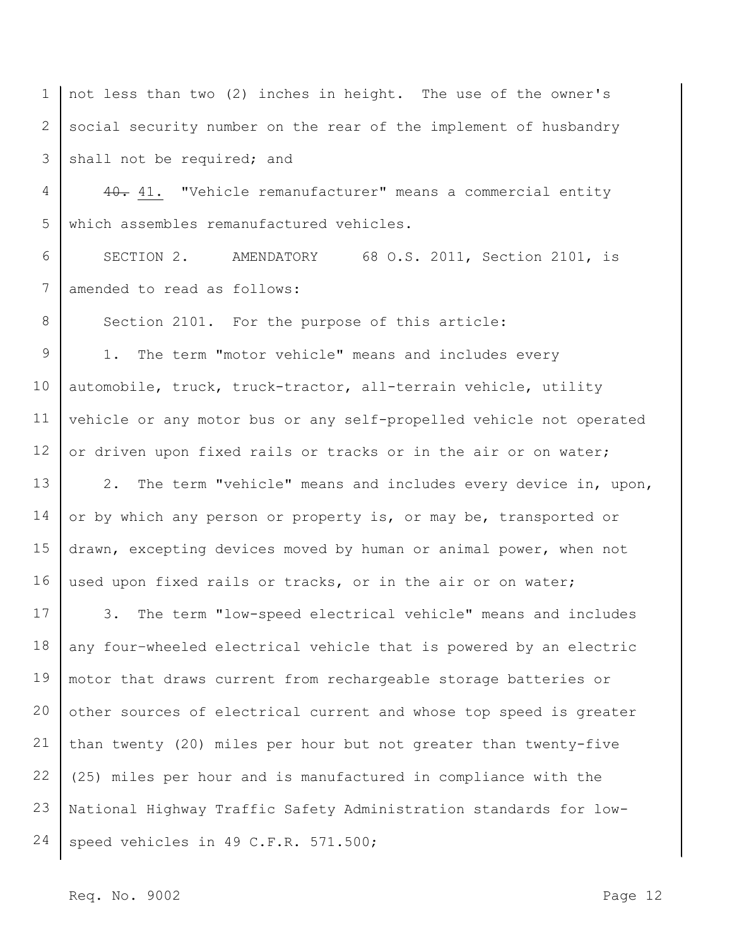1 2 3 not less than two (2) inches in height. The use of the owner's social security number on the rear of the implement of husbandry shall not be required; and

4 5 40. 41. "Vehicle remanufacturer" means a commercial entity which assembles remanufactured vehicles.

6 7 SECTION 2. AMENDATORY 68 O.S. 2011, Section 2101, is amended to read as follows:

Section 2101. For the purpose of this article:

9 10 11 12 1. The term "motor vehicle" means and includes every automobile, truck, truck-tractor, all-terrain vehicle, utility vehicle or any motor bus or any self-propelled vehicle not operated or driven upon fixed rails or tracks or in the air or on water;

13 14 15 16 2. The term "vehicle" means and includes every device in, upon, or by which any person or property is, or may be, transported or drawn, excepting devices moved by human or animal power, when not used upon fixed rails or tracks, or in the air or on water;

17 18 19 20 21 22 23 24 3. The term "low-speed electrical vehicle" means and includes any four–wheeled electrical vehicle that is powered by an electric motor that draws current from rechargeable storage batteries or other sources of electrical current and whose top speed is greater than twenty (20) miles per hour but not greater than twenty-five (25) miles per hour and is manufactured in compliance with the National Highway Traffic Safety Administration standards for lowspeed vehicles in 49 C.F.R. 571.500;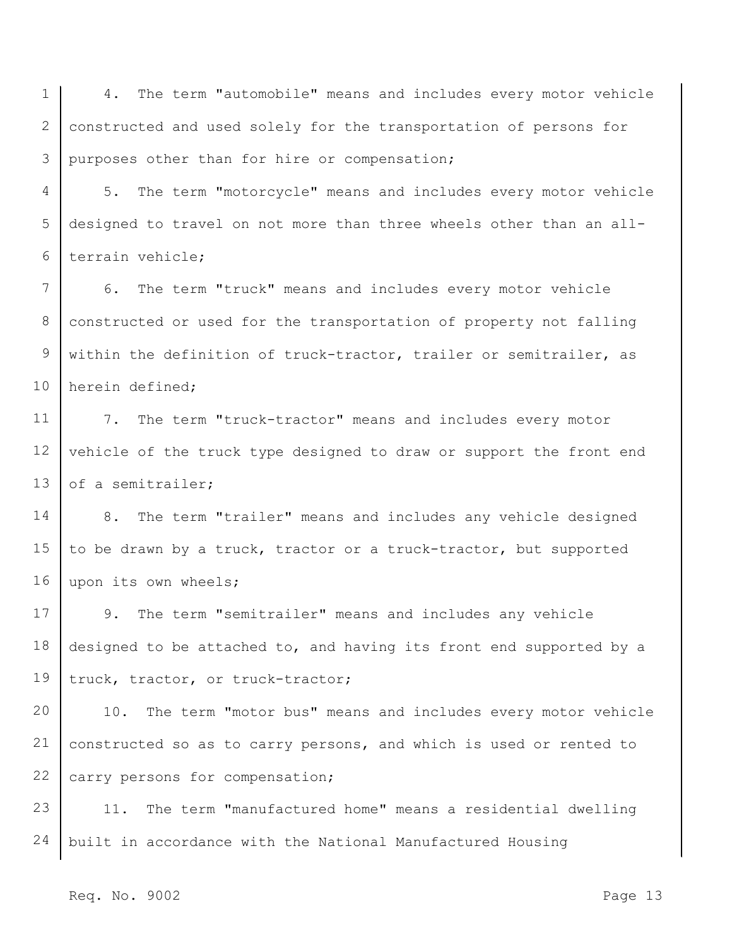1 2 3 4. The term "automobile" means and includes every motor vehicle constructed and used solely for the transportation of persons for purposes other than for hire or compensation;

4 5 6 5. The term "motorcycle" means and includes every motor vehicle designed to travel on not more than three wheels other than an allterrain vehicle;

7 8 9 10 6. The term "truck" means and includes every motor vehicle constructed or used for the transportation of property not falling within the definition of truck-tractor, trailer or semitrailer, as herein defined;

11 12 13 7. The term "truck-tractor" means and includes every motor vehicle of the truck type designed to draw or support the front end of a semitrailer;

14 15 16 8. The term "trailer" means and includes any vehicle designed to be drawn by a truck, tractor or a truck-tractor, but supported upon its own wheels;

17 18 19 9. The term "semitrailer" means and includes any vehicle designed to be attached to, and having its front end supported by a truck, tractor, or truck-tractor;

20 21 22 10. The term "motor bus" means and includes every motor vehicle constructed so as to carry persons, and which is used or rented to carry persons for compensation;

23 24 11. The term "manufactured home" means a residential dwelling built in accordance with the National Manufactured Housing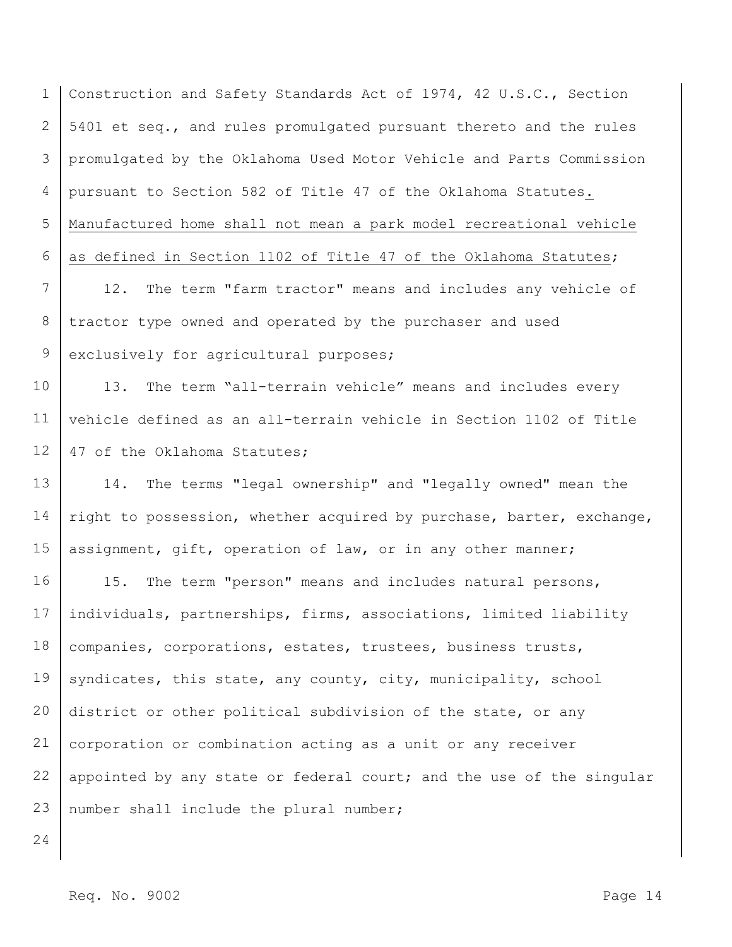1 2 3 4 5 6 Construction and Safety Standards Act of 1974, 42 U.S.C., Section 5401 et seq., and rules promulgated pursuant thereto and the rules promulgated by the Oklahoma Used Motor Vehicle and Parts Commission pursuant to Section 582 of Title 47 of the Oklahoma Statutes. Manufactured home shall not mean a park model recreational vehicle as defined in Section 1102 of Title 47 of the Oklahoma Statutes;

7 8 9 12. The term "farm tractor" means and includes any vehicle of tractor type owned and operated by the purchaser and used exclusively for agricultural purposes;

10 11 12 13. The term "all-terrain vehicle" means and includes every vehicle defined as an all-terrain vehicle in Section 1102 of Title 47 of the Oklahoma Statutes;

13 14 15 14. The terms "legal ownership" and "legally owned" mean the right to possession, whether acquired by purchase, barter, exchange, assignment, gift, operation of law, or in any other manner;

16 17 18 19 20 21 22 23 15. The term "person" means and includes natural persons, individuals, partnerships, firms, associations, limited liability companies, corporations, estates, trustees, business trusts, syndicates, this state, any county, city, municipality, school district or other political subdivision of the state, or any corporation or combination acting as a unit or any receiver appointed by any state or federal court; and the use of the singular number shall include the plural number;